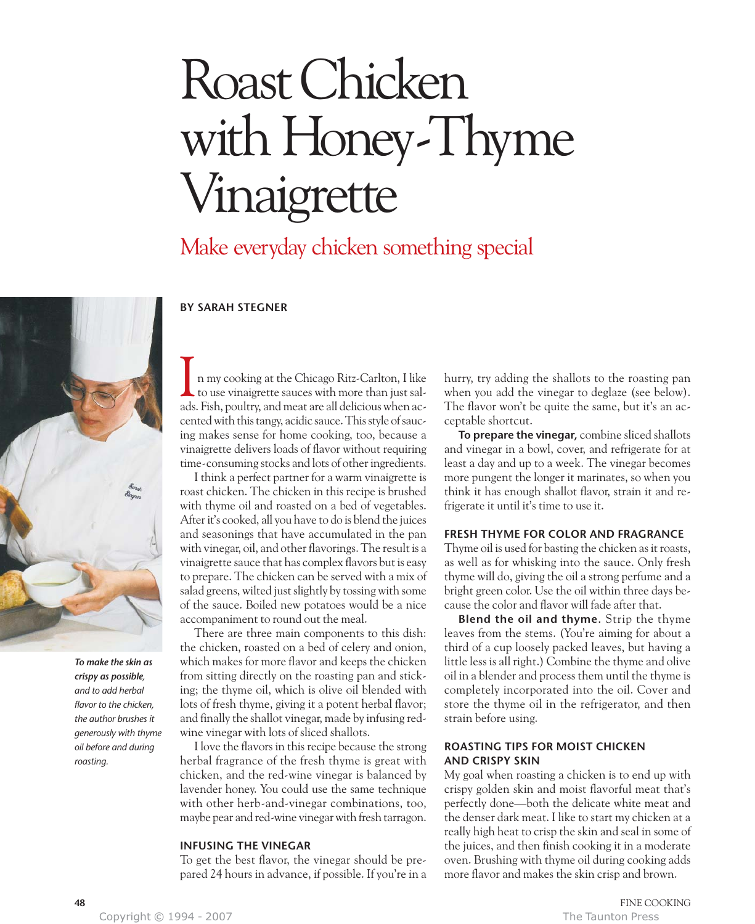# Roast Chicken with Honey-Thyme Vinaigrette

Make everyday chicken something special

# **BY SARAH STEGNER**



*To make the skin as crispy as possible, and to add herbal flavor to the chicken, the author brushes it generously with thyme oil before and during roasting.*

n my cooking at the Chicago Ritz-Carlton, I like to use vinaigrette sauces with more than just sal-In my cooking at the Chicago Ritz-Carlton, I like<br>to use vinaigrette sauces with more than just sal-<br>ads. Fish, poultry, and meat are all delicious when accented with this tangy, acidic sauce. This style of saucing makes sense for home cooking, too, because a vinaigrette delivers loads of flavor without requiring time-consuming stocks and lots of other ingredients.

I think a perfect partner for a warm vinaigrette is roast chicken. The chicken in this recipe is brushed with thyme oil and roasted on a bed of vegetables. After it's cooked, all you have to do is blend the juices and seasonings that have accumulated in the pan with vinegar, oil, and other flavorings. The result is a vinaigrette sauce that has complex flavors but is easy to prepare. The chicken can be served with a mix of salad greens, wilted just slightly by tossing with some of the sauce. Boiled new potatoes would be a nice accompaniment to round out the meal.

There are three main components to this dish: the chicken, roasted on a bed of celery and onion, which makes for more flavor and keeps the chicken from sitting directly on the roasting pan and sticking; the thyme oil, which is olive oil blended with lots of fresh thyme, giving it a potent herbal flavor; and finally the shallot vinegar, made by infusing redwine vinegar with lots of sliced shallots.

I love the flavors in this recipe because the strong herbal fragrance of the fresh thyme is great with chicken, and the red-wine vinegar is balanced by lavender honey. You could use the same technique with other herb-and-vinegar combinations, too, maybe pear and red-wine vinegar with fresh tarragon.

# **INFUSING THE VINEGAR**

To get the best flavor, the vinegar should be prepared 24 hours in advance, if possible. If you're in a hurry, try adding the shallots to the roasting pan when you add the vinegar to deglaze (see below). The flavor won't be quite the same, but it's an acceptable shortcut.

**To prepare the vinegar,** combine sliced shallots and vinegar in a bowl, cover, and refrigerate for at least a day and up to a week. The vinegar becomes more pungent the longer it marinates, so when you think it has enough shallot flavor, strain it and refrigerate it until it's time to use it.

### **FRESH THYME FOR COLOR AND FRAGRANCE**

Thyme oil is used for basting the chicken as it roasts, as well as for whisking into the sauce. Only fresh thyme will do, giving the oil a strong perfume and a bright green color. Use the oil within three days because the color and flavor will fade after that.

**Blend the oil and thyme.** Strip the thyme leaves from the stems. (You're aiming for about a third of a cup loosely packed leaves, but having a little less is all right.) Combine the thyme and olive oil in a blender and process them until the thyme is completely incorporated into the oil. Cover and store the thyme oil in the refrigerator, and then strain before using.

## **ROASTING TIPS FOR MOIST CHICKEN AND CRISPY SKIN**

My goal when roasting a chicken is to end up with crispy golden skin and moist flavorful meat that's perfectly done—both the delicate white meat and the denser dark meat. I like to start my chicken at a really high heat to crisp the skin and seal in some of the juices, and then finish cooking it in a moderate oven. Brushing with thyme oil during cooking adds more flavor and makes the skin crisp and brown.